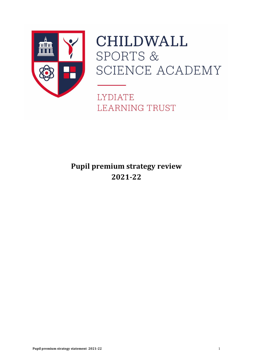

# **CHILDWALL** SPORTS & SCIENCE ACADEMY

**LYDIATE LEARNING TRUST** 

# **Pupil premium strategy review 2021-22**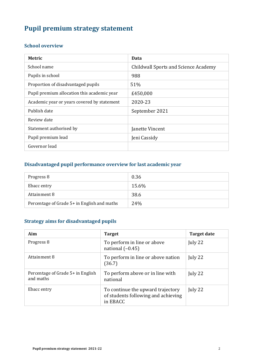# **Pupil premium strategy statement**

#### **School overview**

| <b>Metric</b>                               | Data                                        |
|---------------------------------------------|---------------------------------------------|
| School name                                 | <b>Childwall Sports and Science Academy</b> |
| Pupils in school                            | 988                                         |
| Proportion of disadvantaged pupils          | 51%                                         |
| Pupil premium allocation this academic year | £450,000                                    |
| Academic year or years covered by statement | 2020-23                                     |
| Publish date                                | September 2021                              |
| Review date                                 |                                             |
| Statement authorised by                     | Janette Vincent                             |
| Pupil premium lead                          | Jeni Cassidy                                |
| Governor lead                               |                                             |

## **Disadvantaged pupil performance overview for last academic year**

| Progress 8                                  | 0.36  |
|---------------------------------------------|-------|
| Ebacc entry                                 | 15.6% |
| Attainment 8                                | 38.6  |
| Percentage of Grade 5+ in English and maths | 24%   |

## **Strategy aims for disadvantaged pupils**

| Aim                                            | <b>Target</b>                                                                        | <b>Target date</b> |
|------------------------------------------------|--------------------------------------------------------------------------------------|--------------------|
| Progress 8                                     | To perform in line or above<br>national $(-0.45)$                                    | July 22            |
| Attainment 8                                   | To perform in line or above nation<br>(36.7)                                         | July 22            |
| Percentage of Grade 5+ in English<br>and maths | To perform above or in line with<br>national                                         | July 22            |
| Ebacc entry                                    | To continue the upward trajectory<br>of students following and achieving<br>in EBACC | July 22            |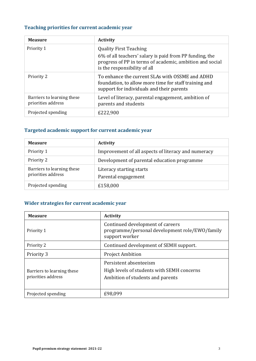# **Teaching priorities for current academic year**

| <b>Measure</b>                                   | <b>Activity</b>                                                                                                                                                                      |
|--------------------------------------------------|--------------------------------------------------------------------------------------------------------------------------------------------------------------------------------------|
| Priority 1                                       | <b>Quality First Teaching</b><br>6% of all teachers' salary is paid from PP funding, the<br>progress of PP in terms of academic, ambition and social<br>is the responsibility of all |
| Priority 2                                       | To enhance the current SLAs with OSSME and ADHD<br>foundation, to allow more time for staff training and<br>support for individuals and their parents                                |
| Barriers to learning these<br>priorities address | Level of literacy, parental engagement, ambition of<br>parents and students                                                                                                          |
| Projected spending                               | £222,900                                                                                                                                                                             |

# **Targeted academic support for current academic year**

| <b>Measure</b>                                   | <b>Activity</b>                                     |
|--------------------------------------------------|-----------------------------------------------------|
| Priority 1                                       | Improvement of all aspects of literacy and numeracy |
| Priority 2                                       | Development of parental education programme         |
| Barriers to learning these<br>priorities address | Literacy starting starts<br>Parental engagement     |
| Projected spending                               | £158,000                                            |

#### **Wider strategies for current academic year**

| <b>Measure</b>                                   | <b>Activity</b>                                                                                          |
|--------------------------------------------------|----------------------------------------------------------------------------------------------------------|
| Priority 1                                       | Continued development of careers<br>programme/personal development role/EWO/family<br>support worker     |
| Priority 2                                       | Continued development of SEMH support.                                                                   |
| Priority 3                                       | <b>Project Ambition</b>                                                                                  |
| Barriers to learning these<br>priorities address | Persistent absenteeism<br>High levels of students with SEMH concerns<br>Ambition of students and parents |
| Projected spending                               | £98,099                                                                                                  |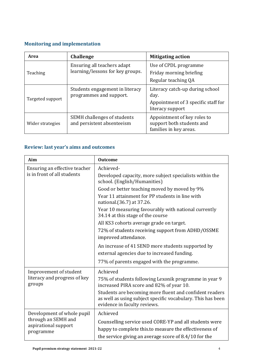# **Monitoring and implementation**

| <b>Area</b>      | <b>Challenge</b>                                                 | <b>Mitigating action</b>                                                                           |
|------------------|------------------------------------------------------------------|----------------------------------------------------------------------------------------------------|
| Teaching         | Ensuring all teachers adapt<br>learning/lessons for key groups.  | Use of CPDL programme<br>Friday morning briefing<br>Regular teaching QA                            |
| Targeted support | Students engagement in literacy<br>programmes and support.       | Literacy catch-up during school<br>day.<br>Appointment of 3 specific staff for<br>literacy support |
| Wider strategies | <b>SEMH</b> challenges of students<br>and persistent absenteeism | Appointment of key roles to<br>support both students and<br>families in key areas.                 |

## **Review: last year's aims and outcomes**

| Aim                                                                                    | <b>Outcome</b>                                                                                                                                                            |
|----------------------------------------------------------------------------------------|---------------------------------------------------------------------------------------------------------------------------------------------------------------------------|
| Ensuring an effective teacher                                                          | Achieved-                                                                                                                                                                 |
| is in front of all students                                                            | Developed capacity, more subject specialists within the<br>school. (English/Humanities)                                                                                   |
|                                                                                        | Good or better teaching moved by moved by 9%                                                                                                                              |
|                                                                                        | Year 11 attainment for PP students in line with<br>national. (36.7) at 37.26.                                                                                             |
|                                                                                        | Year 10 measuring favourably with national currently<br>34.14 at this stage of the course                                                                                 |
|                                                                                        | All KS3 cohorts average grade on target.                                                                                                                                  |
|                                                                                        | 72% of students receiving support from ADHD/OSSME                                                                                                                         |
|                                                                                        | improved attendance.                                                                                                                                                      |
|                                                                                        | An increase of 41 SEND more students supported by<br>external agencies due to increased funding.                                                                          |
|                                                                                        | 77% of parents engaged with the programme.                                                                                                                                |
| Improvement of student                                                                 | Achieved                                                                                                                                                                  |
| literacy and progress of key<br>groups                                                 | 75% of students following Lexonik programme in year 9<br>increased PIRA score and 82% of year 10.                                                                         |
|                                                                                        | Students are becoming more fluent and confident readers<br>as well as using subject specific vocabulary. This has been<br>evidence in faculty reviews.                    |
| Development of whole pupil<br>through an SEMH and<br>aspirational support<br>programme | Achieved                                                                                                                                                                  |
|                                                                                        | Counselling service used CORE-YP and all students were<br>happy to complete this.to measure the effectiveness of<br>the service giving an average score of 8.4/10 for the |